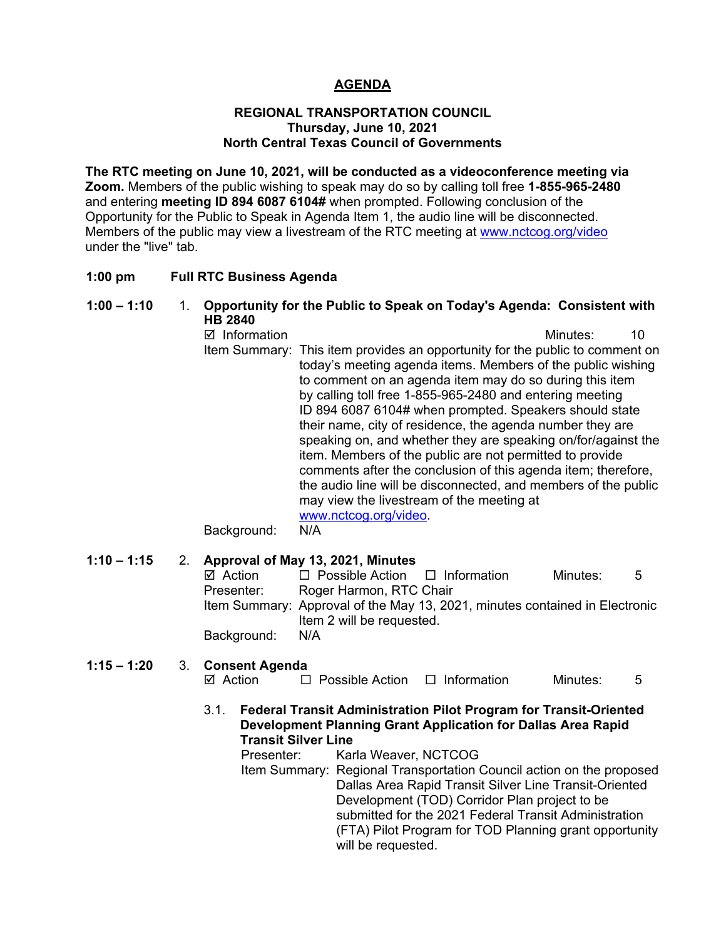# **AGENDA**

#### **REGIONAL TRANSPORTATION COUNCIL Thursday, June 10, 2021 North Central Texas Council of Governments**

**The RTC meeting on June 10, 2021, will be conducted as a videoconference meeting via Zoom.** Members of the public wishing to speak may do so by calling toll free **1-855-965-2480**  and entering **meeting ID 894 6087 6104#** when prompted. Following conclusion of the Opportunity for the Public to Speak in Agenda Item 1, the audio line will be disconnected. Members of the public may view a livestream of the RTC meeting at [www.nctcog.org/video](http://www.nctcog.org/video) under the "live" tab.

#### **1:00 pm Full RTC Business Agenda**

#### **1:00 – 1:10** 1. **Opportunity for the Public to Speak on Today's Agenda: Consistent with HB 2840**

 Information Minutes: 10 Item Summary: This item provides an opportunity for the public to comment on today's meeting agenda items. Members of the public wishing to comment on an agenda item may do so during this item by calling toll free 1-855-965-2480 and entering meeting ID 894 6087 6104# when prompted. Speakers should state their name, city of residence, the agenda number they are speaking on, and whether they are speaking on/for/against the item. Members of the public are not permitted to provide comments after the conclusion of this agenda item; therefore, the audio line will be disconnected, and members of the public may view the livestream of the meeting at [www.nctcog.org/video.](http://www.nctcog.org/video)<br>N/A

Background:

## **1:10 – 1:15** 2. **Approval of May 13, 2021, Minutes**

| $\boxtimes$ Action | $\Box$ Possible Action $\Box$ Information                                   | Minutes: | - 5 |
|--------------------|-----------------------------------------------------------------------------|----------|-----|
| Presenter:         | Roger Harmon, RTC Chair                                                     |          |     |
|                    | Item Summary: Approval of the May 13, 2021, minutes contained in Electronic |          |     |
|                    | Item 2 will be requested.                                                   |          |     |
| Background:        | N/A                                                                         |          |     |

#### **1:15 – 1:20** 3. **Consent Agenda**  $\Box$  Possible Action  $\Box$  Information Minutes: 5

- 
- 3.1. **Federal Transit Administration Pilot Program for Transit-Oriented Development Planning Grant Application for Dallas Area Rapid Transit Silver Line**

Presenter: Karla Weaver, NCTCOG

Item Summary: Regional Transportation Council action on the proposed Dallas Area Rapid Transit Silver Line Transit-Oriented Development (TOD) Corridor Plan project to be submitted for the 2021 Federal Transit Administration (FTA) Pilot Program for TOD Planning grant opportunity will be requested.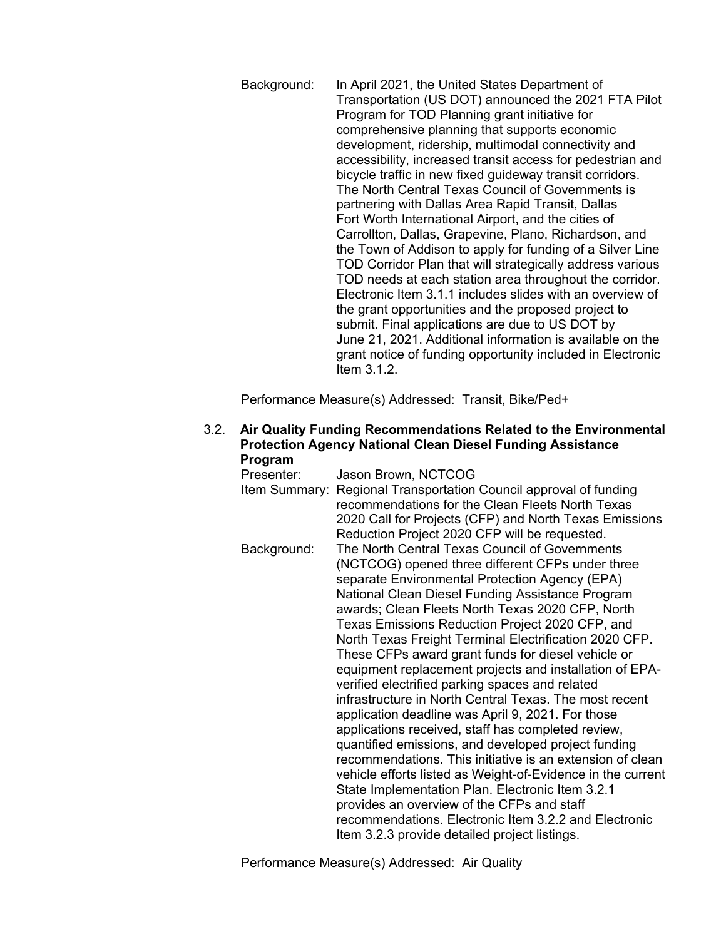Background: In April 2021, the United States Department of Transportation (US DOT) announced the 2021 FTA Pilot Program for TOD Planning grant initiative for comprehensive planning that supports economic development, ridership, multimodal connectivity and accessibility, increased transit access for pedestrian and bicycle traffic in new fixed guideway transit corridors. The North Central Texas Council of Governments is partnering with Dallas Area Rapid Transit, Dallas Fort Worth International Airport, and the cities of Carrollton, Dallas, Grapevine, Plano, Richardson, and the Town of Addison to apply for funding of a Silver Line TOD Corridor Plan that will strategically address various TOD needs at each station area throughout the corridor. Electronic Item 3.1.1 includes slides with an overview of the grant opportunities and the proposed project to submit. Final applications are due to US DOT by June 21, 2021. Additional information is available on the grant notice of funding opportunity included in Electronic Item 3.1.2.

Performance Measure(s) Addressed: Transit, Bike/Ped+

3.2. **Air Quality Funding Recommendations Related to the Environmental Protection Agency National Clean Diesel Funding Assistance Program**

| Presenter:    | Jason Brown, NCTCOG                                                                                                                                                                                                                                                                                                                                                                                                                                                                                                                                                                                                                                                                                                                                                                                                                                                                                                                                                                                                                                                                                               |
|---------------|-------------------------------------------------------------------------------------------------------------------------------------------------------------------------------------------------------------------------------------------------------------------------------------------------------------------------------------------------------------------------------------------------------------------------------------------------------------------------------------------------------------------------------------------------------------------------------------------------------------------------------------------------------------------------------------------------------------------------------------------------------------------------------------------------------------------------------------------------------------------------------------------------------------------------------------------------------------------------------------------------------------------------------------------------------------------------------------------------------------------|
| Item Summary: | Regional Transportation Council approval of funding<br>recommendations for the Clean Fleets North Texas<br>2020 Call for Projects (CFP) and North Texas Emissions<br>Reduction Project 2020 CFP will be requested.                                                                                                                                                                                                                                                                                                                                                                                                                                                                                                                                                                                                                                                                                                                                                                                                                                                                                                |
| Background:   | The North Central Texas Council of Governments<br>(NCTCOG) opened three different CFPs under three<br>separate Environmental Protection Agency (EPA)<br>National Clean Diesel Funding Assistance Program<br>awards; Clean Fleets North Texas 2020 CFP, North<br>Texas Emissions Reduction Project 2020 CFP, and<br>North Texas Freight Terminal Electrification 2020 CFP.<br>These CFPs award grant funds for diesel vehicle or<br>equipment replacement projects and installation of EPA-<br>verified electrified parking spaces and related<br>infrastructure in North Central Texas. The most recent<br>application deadline was April 9, 2021. For those<br>applications received, staff has completed review,<br>quantified emissions, and developed project funding<br>recommendations. This initiative is an extension of clean<br>vehicle efforts listed as Weight-of-Evidence in the current<br>State Implementation Plan. Electronic Item 3.2.1<br>provides an overview of the CFPs and staff<br>recommendations. Electronic Item 3.2.2 and Electronic<br>Item 3.2.3 provide detailed project listings. |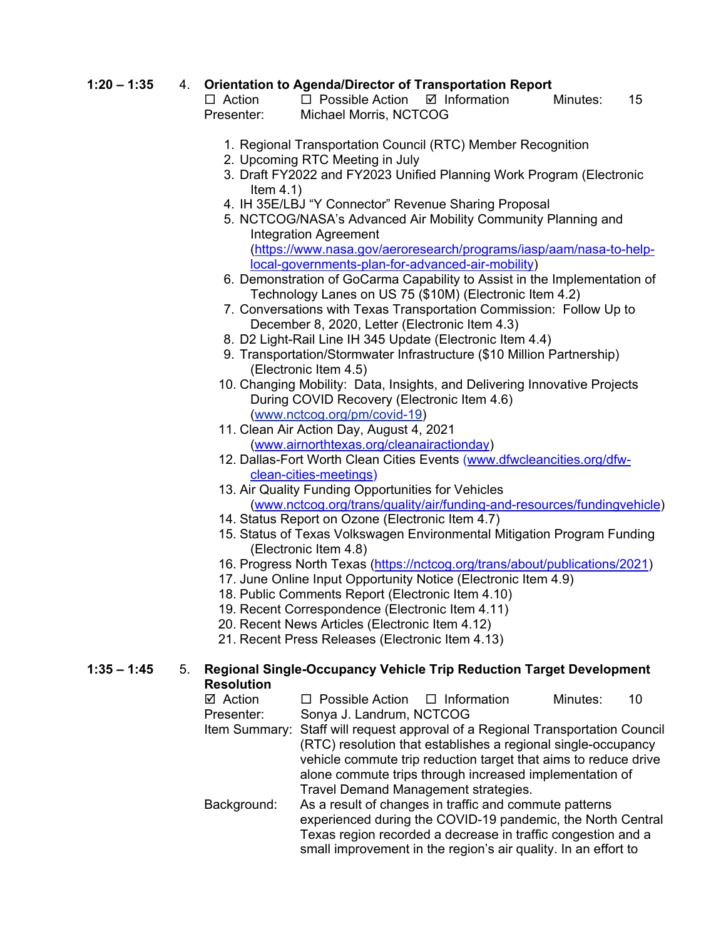# **1:20 – 1:35** 4. **Orientation to Agenda/Director of Transportation Report**

 $\Box$  Possible Action  $\Box$  Information Minutes: 15 Presenter: Michael Morris, NCTCOG

- 1. Regional Transportation Council (RTC) Member Recognition
- 2. Upcoming RTC Meeting in July
- 3. Draft FY2022 and FY2023 Unified Planning Work Program (Electronic Item 4.1)
- 4. IH 35E/LBJ "Y Connector" Revenue Sharing Proposal
- 5. NCTCOG/NASA's Advanced Air Mobility Community Planning and Integration Agreement [\(https://www.nasa.gov/aeroresearch/programs/iasp/aam/nasa-to-help](https://nam12.safelinks.protection.outlook.com/?url=https%3A%2F%2Fwww.nasa.gov%2Faeroresearch%2Fprograms%2Fiasp%2Faam%2Fnasa-to-help-local-governments-plan-for-advanced-air-mobility&data=04%7C01%7CALeger%40nctcog.org%7Ceb0e7e74928b4353f7bf08d92692a894%7C2f5e7ebc22b04fbe934caabddb4e29b1%7C0%7C0%7C637583233594782104%7CUnknown%7CTWFpbGZsb3d8eyJWIjoiMC4wLjAwMDAiLCJQIjoiV2luMzIiLCJBTiI6Ik1haWwiLCJXVCI6Mn0%3D%7C1000&sdata=3sd5PBgGo5EypZw8d81cPkEuXBcm2WSJNyXYuV2%2Fprs%3D&reserved=0)[local-governments-plan-for-advanced-air-mobility\)](https://nam12.safelinks.protection.outlook.com/?url=https%3A%2F%2Fwww.nasa.gov%2Faeroresearch%2Fprograms%2Fiasp%2Faam%2Fnasa-to-help-local-governments-plan-for-advanced-air-mobility&data=04%7C01%7CALeger%40nctcog.org%7Ceb0e7e74928b4353f7bf08d92692a894%7C2f5e7ebc22b04fbe934caabddb4e29b1%7C0%7C0%7C637583233594782104%7CUnknown%7CTWFpbGZsb3d8eyJWIjoiMC4wLjAwMDAiLCJQIjoiV2luMzIiLCJBTiI6Ik1haWwiLCJXVCI6Mn0%3D%7C1000&sdata=3sd5PBgGo5EypZw8d81cPkEuXBcm2WSJNyXYuV2%2Fprs%3D&reserved=0)
- 6. Demonstration of GoCarma Capability to Assist in the Implementation of Technology Lanes on US 75 (\$10M) (Electronic Item 4.2)
- 7. Conversations with Texas Transportation Commission: Follow Up to December 8, 2020, Letter (Electronic Item 4.3)
- 8. D2 Light-Rail Line IH 345 Update (Electronic Item 4.4)
- 9. Transportation/Stormwater Infrastructure (\$10 Million Partnership) (Electronic Item 4.5)
- 10. Changing Mobility: Data, Insights, and Delivering Innovative Projects During COVID Recovery (Electronic Item 4.6) [\(www.nctcog.org/pm/covid-19\)](http://www.nctcog.org/pm/covid-19)
- 11. Clean Air Action Day, August 4, 2021 [\(www.airnorthtexas.org/cleanairactionday\)](http://www.airnorthtexas.org/cleanairactionday)
- 12. Dallas-Fort Worth Clean Cities Events [\(www.dfwcleancities.org/dfw](http://www.dfwcleancities.org/dfw-clean-cities-meetings)[clean-cities-meetings\)](http://www.dfwcleancities.org/dfw-clean-cities-meetings)
- 13. Air Quality Funding Opportunities for Vehicles [\(www.nctcog.org/trans/quality/air/funding-and-resources/fundingvehicle\)](http://www.nctcog.org/trans/quality/air/funding-and-resources/fundingvehicle)
- 14. Status Report on Ozone (Electronic Item 4.7)
- 15. Status of Texas Volkswagen Environmental Mitigation Program Funding (Electronic Item 4.8)
- 16. Progress North Texas [\(https://nctcog.org/trans/about/publications/2021\)](https://nctcog.org/trans/about/publications/2021)
- 17. June Online Input Opportunity Notice (Electronic Item 4.9)
- 18. Public Comments Report (Electronic Item 4.10)
- 19. Recent Correspondence (Electronic Item 4.11)
- 20. Recent News Articles (Electronic Item 4.12)
- 21. Recent Press Releases (Electronic Item 4.13)

### **1:35 – 1:45** 5. **Regional Single-Occupancy Vehicle Trip Reduction Target Development Resolution**

| $\boxtimes$ Action | $\Box$ Possible Action $\Box$ Information<br>Minutes:                          |  |  |  |  |  |
|--------------------|--------------------------------------------------------------------------------|--|--|--|--|--|
| Presenter:         | Sonya J. Landrum, NCTCOG                                                       |  |  |  |  |  |
|                    | Item Summary: Staff will request approval of a Regional Transportation Council |  |  |  |  |  |
|                    | (RTC) resolution that establishes a regional single-occupancy                  |  |  |  |  |  |
|                    | vehicle commute trip reduction target that aims to reduce drive                |  |  |  |  |  |
|                    | alone commute trips through increased implementation of                        |  |  |  |  |  |
|                    | Travel Demand Management strategies.                                           |  |  |  |  |  |
| Background:        | As a result of changes in traffic and commute patterns                         |  |  |  |  |  |
|                    | experienced during the COVID-19 pandemic, the North Central                    |  |  |  |  |  |
|                    | Texas region recorded a decrease in traffic congestion and a                   |  |  |  |  |  |

small improvement in the region's air quality. In an effort to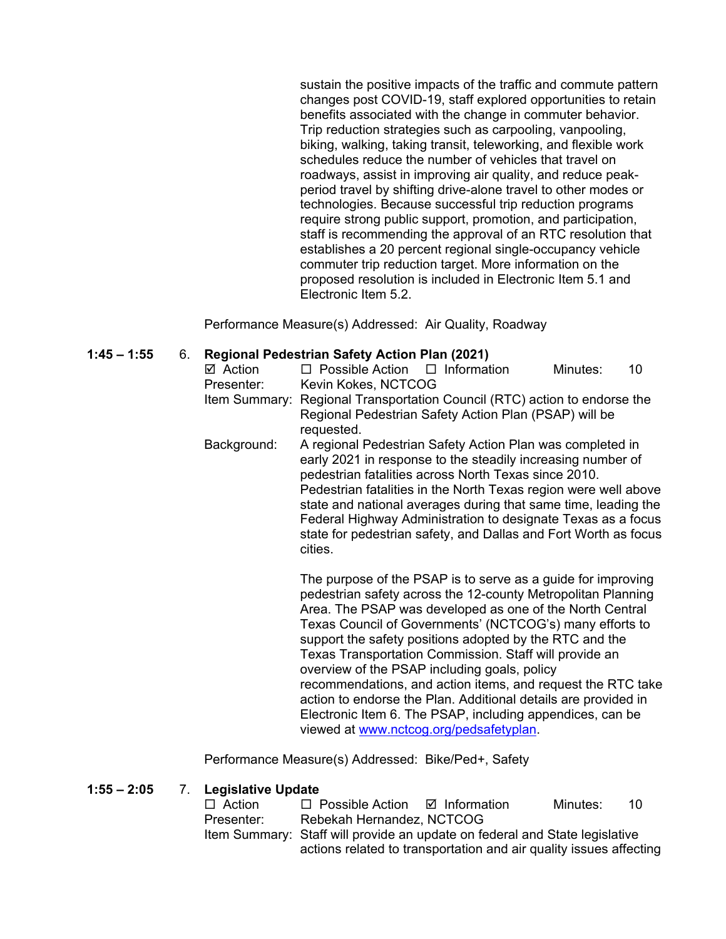sustain the positive impacts of the traffic and commute pattern changes post COVID-19, staff explored opportunities to retain benefits associated with the change in commuter behavior. Trip reduction strategies such as carpooling, vanpooling, biking, walking, taking transit, teleworking, and flexible work schedules reduce the number of vehicles that travel on roadways, assist in improving air quality, and reduce peakperiod travel by shifting drive-alone travel to other modes or technologies. Because successful trip reduction programs require strong public support, promotion, and participation, staff is recommending the approval of an RTC resolution that establishes a 20 percent regional single-occupancy vehicle commuter trip reduction target. More information on the proposed resolution is included in Electronic Item 5.1 and Electronic Item 5.2.

Performance Measure(s) Addressed: Air Quality, Roadway

#### **1:45 – 1:55** 6. **Regional Pedestrian Safety Action Plan (2021)**

| ☑ Action    | $\Box$ Possible Action $\Box$ Information                                                                                                                                                                                                                                                                                                                                                                                                                           |  |  | Minutes: | 10 |  |
|-------------|---------------------------------------------------------------------------------------------------------------------------------------------------------------------------------------------------------------------------------------------------------------------------------------------------------------------------------------------------------------------------------------------------------------------------------------------------------------------|--|--|----------|----|--|
| Presenter:  | Kevin Kokes, NCTCOG                                                                                                                                                                                                                                                                                                                                                                                                                                                 |  |  |          |    |  |
|             | Item Summary: Regional Transportation Council (RTC) action to endorse the<br>Regional Pedestrian Safety Action Plan (PSAP) will be<br>requested.                                                                                                                                                                                                                                                                                                                    |  |  |          |    |  |
| Background: | A regional Pedestrian Safety Action Plan was completed in<br>early 2021 in response to the steadily increasing number of<br>pedestrian fatalities across North Texas since 2010.<br>Pedestrian fatalities in the North Texas region were well above<br>state and national averages during that same time, leading the<br>Federal Highway Administration to designate Texas as a focus<br>state for pedestrian safety, and Dallas and Fort Worth as focus<br>cities. |  |  |          |    |  |
|             | The purpose of the PSAP is to serve as a quide for improving                                                                                                                                                                                                                                                                                                                                                                                                        |  |  |          |    |  |

The purpose of the PSAP is to serve as a guide for improving pedestrian safety across the 12-county Metropolitan Planning Area. The PSAP was developed as one of the North Central Texas Council of Governments' (NCTCOG's) many efforts to support the safety positions adopted by the RTC and the Texas Transportation Commission. Staff will provide an overview of the PSAP including goals, policy recommendations, and action items, and request the RTC take action to endorse the Plan. Additional details are provided in Electronic Item 6. The PSAP, including appendices, can be viewed at [www.nctcog.org/pedsafetyplan.](http://www.nctcog.org/pedsafetyplan)

Performance Measure(s) Addressed: Bike/Ped+, Safety

#### **1:55 – 2:05** 7. **Legislative Update**

| $\Box$ Action | $\Box$ Possible Action $\Box$ Information                                   |  | Minutes: | 10 |
|---------------|-----------------------------------------------------------------------------|--|----------|----|
| Presenter:    | Rebekah Hernandez, NCTCOG                                                   |  |          |    |
|               | Item Summary: Staff will provide an update on federal and State legislative |  |          |    |
|               | actions related to transportation and air quality issues affecting          |  |          |    |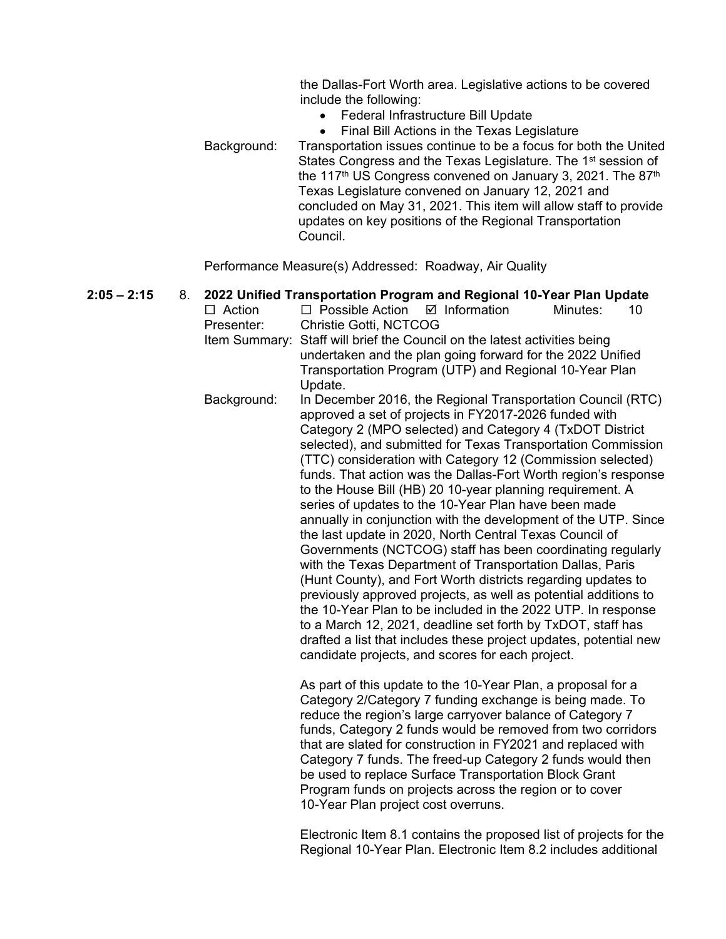the Dallas-Fort Worth area. Legislative actions to be covered include the following:

- Federal Infrastructure Bill Update
- Final Bill Actions in the Texas Legislature Background: Transportation issues continue to be a focus for both the United States Congress and the Texas Legislature. The 1<sup>st</sup> session of the 117<sup>th</sup> US Congress convened on January 3, 2021. The 87<sup>th</sup> Texas Legislature convened on January 12, 2021 and concluded on May 31, 2021. This item will allow staff to provide updates on key positions of the Regional Transportation Council.

Performance Measure(s) Addressed: Roadway, Air Quality

**2:05 – 2:15** 8. **2022 Unified Transportation Program and Regional 10-Year Plan Update**   $\Box$  Action  $\Box$  Possible Action  $\Box$  Information Minutes: 10 Presenter: Christie Gotti, NCTCOG Item Summary: Staff will brief the Council on the latest activities being undertaken and the plan going forward for the 2022 Unified Transportation Program (UTP) and Regional 10-Year Plan Update. Background: In December 2016, the Regional Transportation Council (RTC) approved a set of projects in FY2017-2026 funded with Category 2 (MPO selected) and Category 4 (TxDOT District selected), and submitted for Texas Transportation Commission (TTC) consideration with Category 12 (Commission selected) funds. That action was the Dallas-Fort Worth region's response to the House Bill (HB) 20 10-year planning requirement. A series of updates to the 10-Year Plan have been made annually in conjunction with the development of the UTP. Since the last update in 2020, North Central Texas Council of Governments (NCTCOG) staff has been coordinating regularly with the Texas Department of Transportation Dallas, Paris (Hunt County), and Fort Worth districts regarding updates to previously approved projects, as well as potential additions to the 10-Year Plan to be included in the 2022 UTP. In response to a March 12, 2021, deadline set forth by TxDOT, staff has drafted a list that includes these project updates, potential new candidate projects, and scores for each project. As part of this update to the 10-Year Plan, a proposal for a Category 2/Category 7 funding exchange is being made. To reduce the region's large carryover balance of Category 7 funds, Category 2 funds would be removed from two corridors

that are slated for construction in FY2021 and replaced with Category 7 funds. The freed-up Category 2 funds would then be used to replace Surface Transportation Block Grant Program funds on projects across the region or to cover 10-Year Plan project cost overruns.

Electronic Item 8.1 contains the proposed list of projects for the Regional 10-Year Plan. Electronic Item 8.2 includes additional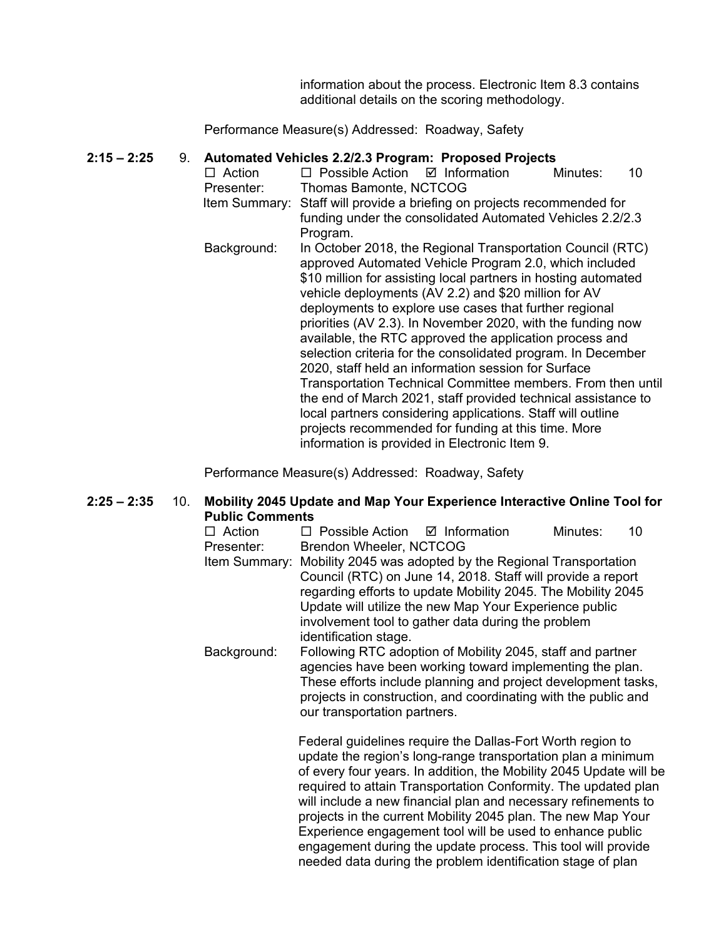information about the process. Electronic Item 8.3 contains additional details on the scoring methodology.

Performance Measure(s) Addressed: Roadway, Safety

#### **2:15 – 2:25** 9. **Automated Vehicles 2.2/2.3 Program: Proposed Projects**

- $\Box$  Action  $\Box$  Possible Action  $\Box$  Information Minutes: 10 Presenter: Thomas Bamonte, NCTCOG Item Summary: Staff will provide a briefing on projects recommended for funding under the consolidated Automated Vehicles 2.2/2.3 Program.
	- Background: In October 2018, the Regional Transportation Council (RTC) approved Automated Vehicle Program 2.0, which included \$10 million for assisting local partners in hosting automated vehicle deployments (AV 2.2) and \$20 million for AV deployments to explore use cases that further regional priorities (AV 2.3). In November 2020, with the funding now available, the RTC approved the application process and selection criteria for the consolidated program. In December 2020, staff held an information session for Surface Transportation Technical Committee members. From then until the end of March 2021, staff provided technical assistance to local partners considering applications. Staff will outline projects recommended for funding at this time. More information is provided in Electronic Item 9.

Performance Measure(s) Addressed: Roadway, Safety

#### **2:25 – 2:35** 10. **Mobility 2045 Update and Map Your Experience Interactive Online Tool for Public Comments**

| $\Box$ Action | $\Box$ Possible Action $\Box$ Information                                                                                                                                                                                                                                                 |                                                                                                                                                                                                                                                                                                                                                                                                                                                                                                                                                                                                  | Minutes: | 10 |  |
|---------------|-------------------------------------------------------------------------------------------------------------------------------------------------------------------------------------------------------------------------------------------------------------------------------------------|--------------------------------------------------------------------------------------------------------------------------------------------------------------------------------------------------------------------------------------------------------------------------------------------------------------------------------------------------------------------------------------------------------------------------------------------------------------------------------------------------------------------------------------------------------------------------------------------------|----------|----|--|
| Presenter:    | Brendon Wheeler, NCTCOG                                                                                                                                                                                                                                                                   |                                                                                                                                                                                                                                                                                                                                                                                                                                                                                                                                                                                                  |          |    |  |
| Item Summary: | Mobility 2045 was adopted by the Regional Transportation<br>Council (RTC) on June 14, 2018. Staff will provide a report<br>regarding efforts to update Mobility 2045. The Mobility 2045<br>Update will utilize the new Map Your Experience public                                         |                                                                                                                                                                                                                                                                                                                                                                                                                                                                                                                                                                                                  |          |    |  |
|               | identification stage.                                                                                                                                                                                                                                                                     | involvement tool to gather data during the problem                                                                                                                                                                                                                                                                                                                                                                                                                                                                                                                                               |          |    |  |
| Background:   | Following RTC adoption of Mobility 2045, staff and partner<br>agencies have been working toward implementing the plan.<br>These efforts include planning and project development tasks,<br>projects in construction, and coordinating with the public and<br>our transportation partners. |                                                                                                                                                                                                                                                                                                                                                                                                                                                                                                                                                                                                  |          |    |  |
|               |                                                                                                                                                                                                                                                                                           | Federal guidelines require the Dallas-Fort Worth region to<br>update the region's long-range transportation plan a minimum<br>of every four years. In addition, the Mobility 2045 Update will be<br>required to attain Transportation Conformity. The updated plan<br>will include a new financial plan and necessary refinements to<br>projects in the current Mobility 2045 plan. The new Map Your<br>Experience engagement tool will be used to enhance public<br>engagement during the update process. This tool will provide<br>needed data during the problem identification stage of plan |          |    |  |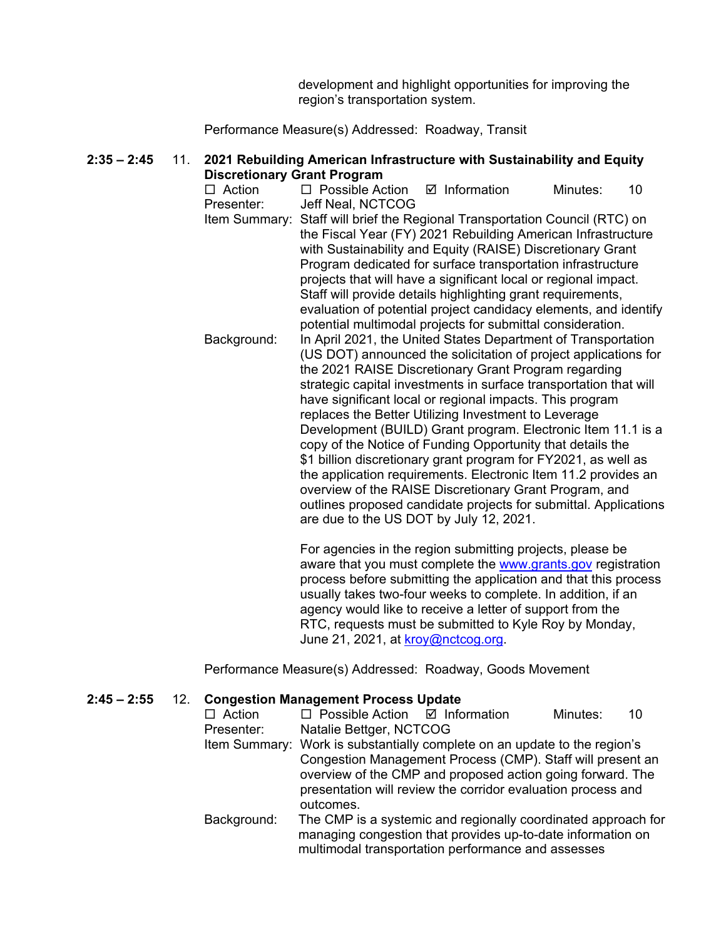development and highlight opportunities for improving the region's transportation system.

Performance Measure(s) Addressed: Roadway, Transit

# **2:35 – 2:45** 11. **2021 Rebuilding American Infrastructure with Sustainability and Equity Discretionary Grant Program**<br>□ Action □ Possible Ac

 $\Box$  Possible Action  $\Box$  Information Minutes: 10 Presenter: Jeff Neal, NCTCOG Item Summary: Staff will brief the Regional Transportation Council (RTC) on the Fiscal Year (FY) 2021 Rebuilding American Infrastructure with Sustainability and Equity (RAISE) Discretionary Grant Program dedicated for surface transportation infrastructure projects that will have a significant local or regional impact. Staff will provide details highlighting grant requirements, evaluation of potential project candidacy elements, and identify potential multimodal projects for submittal consideration. Background: In April 2021, the United States Department of Transportation (US DOT) announced the solicitation of project applications for the 2021 RAISE Discretionary Grant Program regarding strategic capital investments in surface transportation that will have significant local or regional impacts. This program replaces the Better Utilizing Investment to Leverage Development (BUILD) Grant program. Electronic Item 11.1 is a copy of the Notice of Funding Opportunity that details the \$1 billion discretionary grant program for FY2021, as well as the application requirements. Electronic Item 11.2 provides an overview of the RAISE Discretionary Grant Program, and outlines proposed candidate projects for submittal. Applications are due to the US DOT by July 12, 2021.

> For agencies in the region submitting projects, please be aware that you must complete the [www.grants.gov](http://www.grants.gov/) registration process before submitting the application and that this process usually takes two-four weeks to complete. In addition, if an agency would like to receive a letter of support from the RTC, requests must be submitted to Kyle Roy by Monday, June 21, 2021, at [kroy@nctcog.org.](mailto:kroy@nctcog.org)

Performance Measure(s) Addressed: Roadway, Goods Movement

#### **2:45 – 2:55** 12. **Congestion Management Process Update**

| $\Box$ Action | $\Box$ Possible Action $\Box$ Information                                 |                                                               | Minutes: | 10 |
|---------------|---------------------------------------------------------------------------|---------------------------------------------------------------|----------|----|
| Presenter:    | Natalie Bettger, NCTCOG                                                   |                                                               |          |    |
|               | Item Summary: Work is substantially complete on an update to the region's |                                                               |          |    |
|               |                                                                           | Congestion Management Process (CMP). Staff will present an    |          |    |
|               |                                                                           | overview of the CMP and proposed action going forward. The    |          |    |
|               |                                                                           | presentation will review the corridor evaluation process and  |          |    |
|               | outcomes.                                                                 |                                                               |          |    |
| Background:   |                                                                           | The CMP is a systemic and regionally coordinated approach for |          |    |
|               |                                                                           | managing congestion that provides up-to-date information on   |          |    |
|               |                                                                           | multimodal transportation performance and assesses            |          |    |
|               |                                                                           |                                                               |          |    |